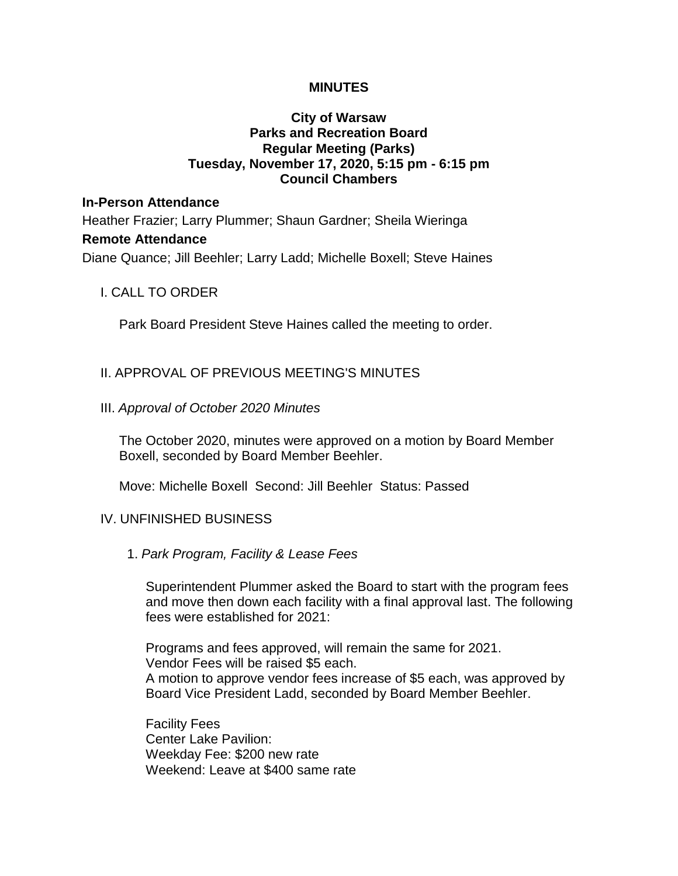#### **MINUTES**

## **City of Warsaw Parks and Recreation Board Regular Meeting (Parks) Tuesday, November 17, 2020, 5:15 pm - 6:15 pm Council Chambers**

## **In-Person Attendance**

Heather Frazier; Larry Plummer; Shaun Gardner; Sheila Wieringa **Remote Attendance** Diane Quance; Jill Beehler; Larry Ladd; Michelle Boxell; Steve Haines

#### I. CALL TO ORDER

Park Board President Steve Haines called the meeting to order.

## II. APPROVAL OF PREVIOUS MEETING'S MINUTES

#### III. *Approval of October 2020 Minutes*

The October 2020, minutes were approved on a motion by Board Member Boxell, seconded by Board Member Beehler.

Move: Michelle Boxell Second: Jill Beehler Status: Passed

#### IV. UNFINISHED BUSINESS

#### 1. *Park Program, Facility & Lease Fees*

Superintendent Plummer asked the Board to start with the program fees and move then down each facility with a final approval last. The following fees were established for 2021:

Programs and fees approved, will remain the same for 2021. Vendor Fees will be raised \$5 each. A motion to approve vendor fees increase of \$5 each, was approved by Board Vice President Ladd, seconded by Board Member Beehler.

Facility Fees Center Lake Pavilion: Weekday Fee: \$200 new rate Weekend: Leave at \$400 same rate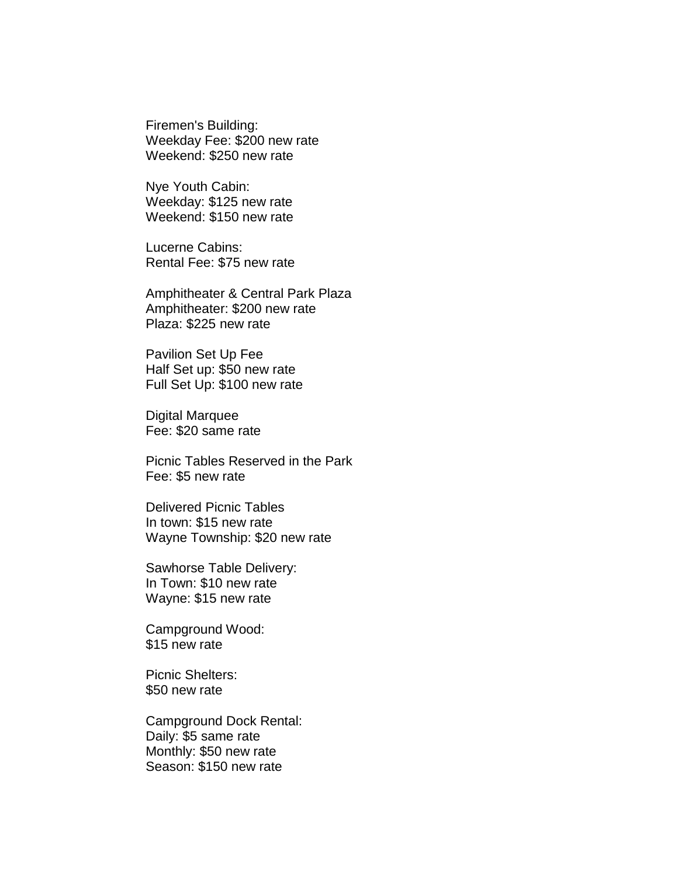Firemen's Building: Weekday Fee: \$200 new rate Weekend: \$250 new rate

Nye Youth Cabin: Weekday: \$125 new rate Weekend: \$150 new rate

Lucerne Cabins: Rental Fee: \$75 new rate

Amphitheater & Central Park Plaza Amphitheater: \$200 new rate Plaza: \$225 new rate

Pavilion Set Up Fee Half Set up: \$50 new rate Full Set Up: \$100 new rate

Digital Marquee Fee: \$20 same rate

Picnic Tables Reserved in the Park Fee: \$5 new rate

Delivered Picnic Tables In town: \$15 new rate Wayne Township: \$20 new rate

Sawhorse Table Delivery: In Town: \$10 new rate Wayne: \$15 new rate

Campground Wood: \$15 new rate

Picnic Shelters: \$50 new rate

Campground Dock Rental: Daily: \$5 same rate Monthly: \$50 new rate Season: \$150 new rate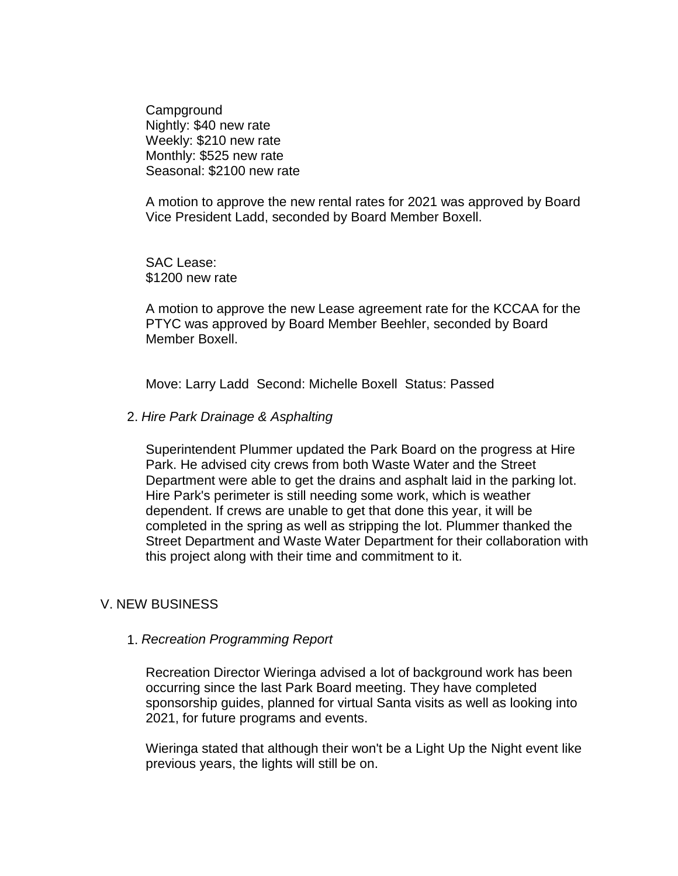**Campground** Nightly: \$40 new rate Weekly: \$210 new rate Monthly: \$525 new rate Seasonal: \$2100 new rate

A motion to approve the new rental rates for 2021 was approved by Board Vice President Ladd, seconded by Board Member Boxell.

SAC Lease: \$1200 new rate

A motion to approve the new Lease agreement rate for the KCCAA for the PTYC was approved by Board Member Beehler, seconded by Board Member Boxell.

Move: Larry Ladd Second: Michelle Boxell Status: Passed

2. *Hire Park Drainage & Asphalting*

Superintendent Plummer updated the Park Board on the progress at Hire Park. He advised city crews from both Waste Water and the Street Department were able to get the drains and asphalt laid in the parking lot. Hire Park's perimeter is still needing some work, which is weather dependent. If crews are unable to get that done this year, it will be completed in the spring as well as stripping the lot. Plummer thanked the Street Department and Waste Water Department for their collaboration with this project along with their time and commitment to it.

# V. NEW BUSINESS

#### 1. *Recreation Programming Report*

Recreation Director Wieringa advised a lot of background work has been occurring since the last Park Board meeting. They have completed sponsorship guides, planned for virtual Santa visits as well as looking into 2021, for future programs and events.

Wieringa stated that although their won't be a Light Up the Night event like previous years, the lights will still be on.